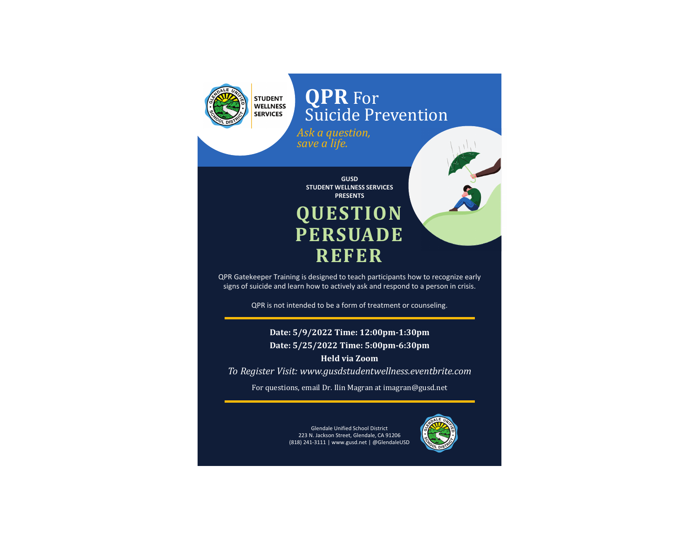

## **QPR** For Suicide Prevention

*Ask a question, save a life.*

**GUSD STUDENT WELLNESS SERVICES PRESENTS QUESTION PERSUADE REFER**

QPR Gatekeeper Training is designed to teach participants how to recognize early signs of suicide and learn how to actively ask and respond to a person in crisis.

QPR is not intended to be a form of treatment or counseling.

**Date: 5/9/2022 Time: 12:00pm-1:30pm Date: 5/25/2022 Time: 5:00pm-6:30pm**

**Held via Zoom***To Register Visit: www.gusdstudentwellness.eventbrite.com*

For questions, email Dr. Ilin Magran at imagran@gusd.net

Glendale Unified School District 223 N. Jackson Street, Glendale, CA 91206 (818) 241-3111 | www.gusd.net | @GlendaleUSD

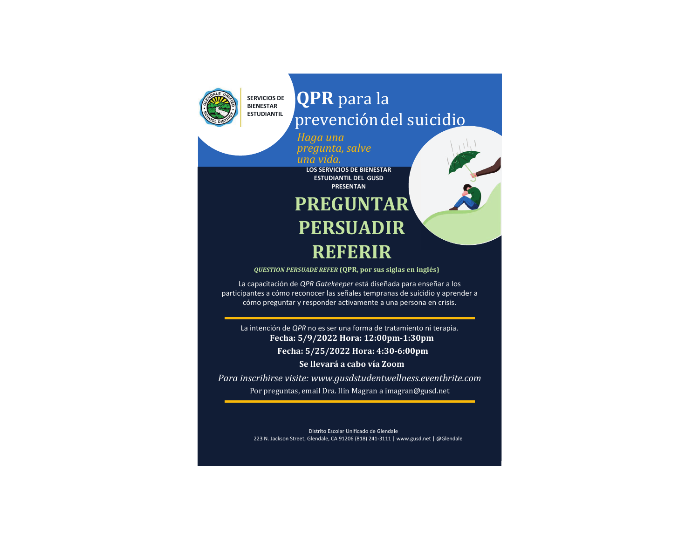

# **QPR**  prevención del suicidio

R. C.

*Haga una pregunta, salve* 

*una vida.*

**LOS SERVICIOS DE BIENESTAR ESTUDIANTIL DEL GUSD PRESENTAN**

# **PREGUNTAR PERSUADIR REFERIR**

*QUESTION PERSUADE REFER* **(QPR, por sus siglas en inglés)**

La capacitación de *QPR Gatekeeper* está diseñada para enseñar a los participantes a cómo reconocer las señales tempranas de suicidio y aprender a cómo preguntar y responder activamente a una persona en crisis.

La intención de *QPR* no es ser una forma de tratamiento ni terapia. **Fecha: 5/9/2022 Hora: 12:00pm-1:30pm Fecha: 5/25/2022 Hora: 4:30-6:00pm Se llevará a cabo vía Zoom**

*Para inscribirse visite: www.gusdstudentwellness.eventbrite.com* Por preguntas, email Dra. Ilin Magran a imagran@gusd.net

> Distrito Escolar Unificado de Glendale223 N. Jackson Street, Glendale, CA 91206 (818) 241-3111 | www.gusd.net | @Glendale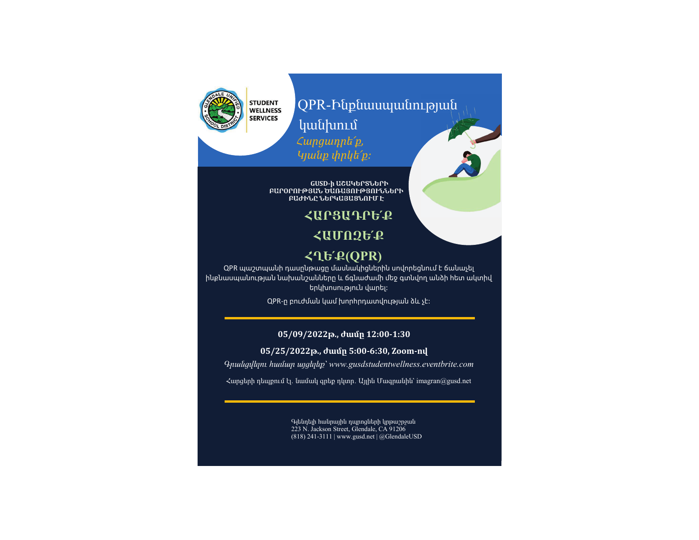STUDENT<br>WELLNESS **SERVICES** 

## QPR-Ինքնասպանության ւթյանկանխում *Հարցադրե՛ք,*

*Կյանք փրկե՛ք։*

**GUSD-ի ԱՇԱԿԵՐՏՆԵՐԻ ԲԱՐՕՐՈՒԹՅԱՆ ԾԱՌԱՅՈՒԹՅՈՒՆՆԵՐԻ ԲԱԺԻՆԸ ՆԵՐԿԱՅԱՑՆՈՒՄ Է**

### **ՀԱՐՑԱԴՐԵ՛Ք**

**ՀԱՄՈԶԵ՛Ք**

#### **ՀՂԵ՛Ք(QPR)**

QPR պաշտպանի դասընթացը մասնակիցներին սովորեցնում է ճանաչել ինքնասպանության նախանշանները և ճգնաժամի մեջ գտնվող անձի հետ ակտիվ երկխոսություն վարել։

QPR-ը բուժման կամ խորհրդատվության ձև չէ։

#### **05/09/2022թ․, ժամը 12։00-1:30**

 **05/25/2022թ․, ժամը 5:00-6:30, Zoom-ով**

*Գրանցվելու համար այցելեք՝ www.gusdstudentwellness.eventbrite.com*

 $\lambda$ արցերի դեպքում էլ. նամակ գրեք դկտր. Այլին Մագրանին՝ imagran@gusd.net

Գլենդելի հանրային դպրոցների կրթաշրջան 223 N. Jackson Street, Glendale, CA 91206 (818) 241-3111 | www.gusd.net | @GlendaleUSD